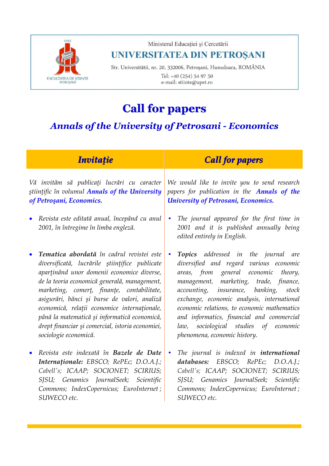

Ministerul Educației și Cercetării

## UNIVERSITATEA DIN PETROȘANI

Str. Universitătii, nr. 20, 332006, Petroșani, Hunedoara, ROMÂNIA Tel: +40 (254) 54 97 50 e-mail: stiinte@upet.ro

# **Call for papers**

## *Annals of the University of Petrosani - Economics*

| <b>Invitație</b>                                                                                                                                                                                                                                                                                                                                                                                                                                                                  | <b>Call for papers</b>                                                                                                                                                                                                                                                                                                                                                                                                                                       |
|-----------------------------------------------------------------------------------------------------------------------------------------------------------------------------------------------------------------------------------------------------------------------------------------------------------------------------------------------------------------------------------------------------------------------------------------------------------------------------------|--------------------------------------------------------------------------------------------------------------------------------------------------------------------------------------------------------------------------------------------------------------------------------------------------------------------------------------------------------------------------------------------------------------------------------------------------------------|
| Vă invităm să publicați lucrări cu caracter<br>stiințific în volumul Annals of the University<br>of Petroşani, Economics.                                                                                                                                                                                                                                                                                                                                                         | We would like to invite you to send research<br>papers for publication in the <b>Annals of the</b><br><b>University of Petrosani, Economics.</b>                                                                                                                                                                                                                                                                                                             |
| Revista este editată anual, începând cu anul<br>$\bullet$<br>2001, în întregime în limba engleză.                                                                                                                                                                                                                                                                                                                                                                                 | The journal appeared for the first time in<br>$\bullet$<br>2001 and it is published annually being<br>edited entirely in English.                                                                                                                                                                                                                                                                                                                            |
| Tematica abordată în cadrul revistei este<br>$\bullet$<br>diversificată, lucrările științifice publicate<br>aparținând unor domenii economice diverse,<br>de la teoria economică generală, management,<br>marketing, comerț, finanțe, contabilitate,<br>asigurări, bănci și burse de valori, analiză<br>economică, relații economice internaționale,<br>până la matematică și informatică economică,<br>drept financiar și comercial, istoria economiei,<br>sociologie economică. | <b>Topics</b> addressed in the journal<br>$\bullet$<br>are<br>diversified and regard various economic<br>areas, from general economic<br>theory,<br>management, marketing, trade, finance,<br>accounting, insurance, banking,<br>stock<br>exchange, economic analysis, international<br>economic relations, to economic mathematics<br>and informatics, financial and commercial<br>sociological studies of economic<br>law,<br>phenomena, economic history. |
| Revista este indexată în Bazele de Date<br>$\bullet$<br>Internaționale: EBSCO; RePEc; D.O.A.J.;<br>Cabell's; ICAAP; SOCIONET; SCIRIUS;                                                                                                                                                                                                                                                                                                                                            | The journal is indexed in <b>international</b><br>$\bullet$<br>databases: EBSCO; RePEc; D.O.A.J.;<br>Cabell's; ICAAP; SOCIONET; SCIRIUS;                                                                                                                                                                                                                                                                                                                     |

*SJSU; Genamics JournalSeek; Scientific Commons; IndexCopernicus; EuroInternet ;* 

*SUWECO etc.*

*SJSU; Genamics JournalSeek; Scientific Commons; IndexCopernicus; EuroInternet ;* 

*SUWECO etc.*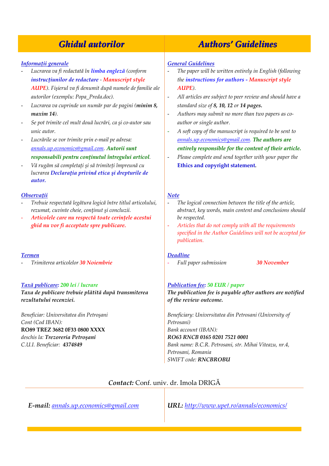#### *Informaţii generale*

- *Lucrarea va fi redactată în limba engleză (conform instrucţiunilor de redactare - Manuscript style AUPE). Fişierul va fi denumit după numele de familie ale autorilor (exemplu: Popa\_Preda.doc).*
- *Lucrarea va cuprinde un număr par de pagini (minim 8, maxim 14).*
- *Se pot trimite cel mult două lucrări, ca şi co-autor sau unic autor.*
- *Lucrările se vor trimite prin e-mail pe adresa: [annals.up.economics@gmail.com.](mailto:annals.up.economics@gmail.com) Autorii sunt responsabili pentru conţinutul întregului articol.*
- *Vă rugăm să completați și să trimiteți împreună cu lucrarea Declaraţia privind etica şi drepturile de autor.*

#### *Observaţii*

- *Trebuie respectată legătura logică între titlul articolului, rezumat, cuvinte cheie, conţinut şi concluzii.*
- *Articolele care nu respectă toate cerinţele acestui ghid nu vor fi acceptate spre publicare.*

#### *Termen*

- *Trimiterea articolelor 30 Noiembrie*

#### *Taxă publicare: 200 lei / lucrare*

*Taxa de publicare trebuie plătită după transmiterea rezultatului recenziei.*

*Beneficiar: Universitatea din Petroşani Cont (Cod IBAN):* **RO89 TREZ 3682 0F33 0800 XXXX** *deschis la: Trezoreria Petroşani C.U.I. Beneficiar: 4374849*

## *Ghidul autorilor Authors' Guidelines*

#### *General Guidelines*

- *The paper will be written entirely in English (following the instructions for authors - Manuscript style AUPE).*
- *All articles are subject to peer review and should have a standard size of 8, 10, 12 or 14 pages.*
- *Authors may submit no more than two papers as coauthor or single author.*
- *A soft copy of the manuscript is required to be sent to [annals.up.economics@gmail.com.](mailto:annals.up.economics@gmail.com) The authors are entirely responsible for the content of their article.*
- *Please complete and send together with your paper the*  **Ethics and copyright statement***.*

#### *Note*

- *The logical connection between the title of the article, abstract, key words, main content and conclusions should be respected.*
- *Articles that do not comply with all the requirements specified in the Author Guidelines will not be accepted for publication.*

#### *Deadline*

- *Full paper submission 30 November*

#### *Publication fee: 50 EUR / paper*

#### *The publication fee is payable after authors are notified of the review outcome.*

*Beneficiary: Universitatea din Petrosani (University of Petrosani) Bank account (IBAN): RO63 RNCB 0165 0201 7521 0001 Bank name: B.C.R. Petrosani, str. Mihai Viteazu, nr.4, Petrosani, Romania SWIFT code: RNCBROBU*

#### *Contact:* Conf. univ. dr. Imola DRIGĂ

*E-mail: [annals.up.economics@gmail.com](mailto:annals.up.economics@gmail.com) URL: <http://www.upet.ro/annals/economics/>*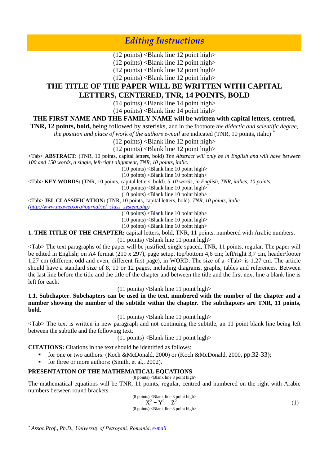*Editing Instructions*

 $(12 \text{ points})$  <Blank line 12 point high>

 $(12 \text{ points})$  <Blank line 12 point high>

 $(12 \text{ points})$  <Blank line 12 point high>

 $(12 \text{ points})$  <Blank line 12 point high>

## **THE TITLE OF THE PAPER WILL BE WRITTEN WITH CAPITAL**

### **LETTERS, CENTERED, TNR, 14 POINTS, BOLD**

 $(14 \text{ points})$  <Blank line 14 point high>

 $(14 \text{ points})$  <Blank line 14 point high>

#### **THE FIRST NAME AND THE FAMILY NAME will be written with capital letters, centred,**

**TNR, 12 points, bold,** being followed by asterisks, and in the footnote *the didactic and scientific degree,* 

*the position and place of work of the authors e-mail are indicated (TNR, 10 points, italic)*<sup>\*</sup>

 $(12 \text{ points})$  <Blank line 12 point high>

 $(12 \text{ points})$  <Blank line 12 point high>

<Tab> **ABSTRACT:** (TNR, 10 points, capital letters, bold) *The Abstract will only be in English and will have between 100 and 150 words, a single, left-right alignment, TNR, 10 points, italic.*

 $(10 \text{ points})$  <Blank line 10 point high>

 $(10 \text{ points})$  <Blank line 10 point high>

<Tab> **KEY WORDS:** (TNR, 10 points, capital letters, bold). *5-10 words, in English, TNR, italics, 10 points.*

 $(10 \text{ points})$  <Blank line 10 point high>

 $(10 \text{ points})$  <Blank line 10 point high>

<Tab> **JEL CLASSIFICATION:** (TNR, 10 points, capital letters, bold). *TNR, 10 points, italic*

*[\(http://www.aeaweb.org/journal/jel\\_class\\_system.php\)](http://www.aeaweb.org/journal/jel_class_system.php).*

 $(10 \text{ points})$  <Blank line 10 point high>

 $(10 \text{ points})$  <Blank line 10 point high>

 $(10 \text{ points})$  <Blank line 10 point high>

**1. THE TITLE OF THE CHAPTER:** capital letters, bold, TNR, 11 points, numbered with Arabic numbers.

 $(11 \text{ points})$  <Blank line 11 point high>

<Tab> The text paragraphs of the paper will be justified, single spaced, TNR, 11 points, regular. The paper will be edited in English; on A4 format (210 x 297), page setup, top/bottom 4,6 cm; left/right 3,7 cm, header/footer 1,27 cm (different odd and even, different first page), in WORD. The size of a <Tab> is 1.27 cm. The article should have a standard size of 8, 10 or 12 pages, including diagrams, graphs, tables and references. Between the last line before the title and the title of the chapter and between the title and the first next line a blank line is left for each.

 $(11 \text{ points})$  <Blank line 11 point high>

**1.1. Subchapter. Subchapters can be used in the text, numbered with the number of the chapter and a number showing the number of the subtitle within the chapter. The subchapters are TNR, 11 points, bold.**

 $(11 \text{ points})$  <Blank line 11 point high>

<Tab> The text is written in new paragraph and not continuing the subtitle, an 11 point blank line being left between the subtitle and the following text.

 $(11 \text{ points})$  <Blank line 11 point high>

**CITATIONS:** Citations in the text should be identified as follows:

- for one or two authors: (Koch &McDonald, 2000) or (Koch &McDonald, 2000, pp.32-33);
- for three or more authors: (Smith, et al., 2002).

#### **PRESENTATION OF THE MATHEMATICAL EQUATIONS**

 $(8 \text{ points})$  <Blank line 8 point high> The mathematical equations will be TNR, 11 points, regular, centred and numbered on the right with Arabic numbers between round brackets.

(8 points) 
$$
\langle
$$
 Blank line 8 point high>   
 $X^2 + Y^2 = Z^2$  (3 points)  $\langle$  Blank line 8 point high> (1)

 $\overline{a}$ 

*<sup>\*</sup> Assoc.Prof., Ph.D., University of Petroşani, Romania, e-mail*